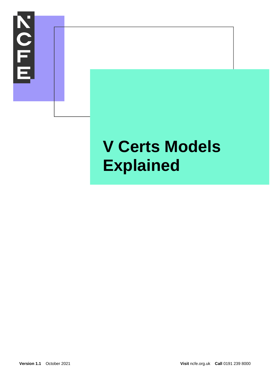

# **V Certs Models Explained**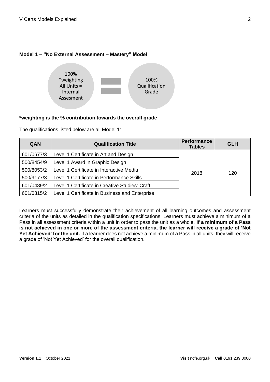## **Model 1 – "No External Assessment – Mastery" Model**



## **\*weighting is the % contribution towards the overall grade**

The qualifications listed below are all Model 1:

| QAN        | <b>Qualification Title</b>                     | <b>Performance</b><br><b>Tables</b> | <b>GLH</b> |
|------------|------------------------------------------------|-------------------------------------|------------|
| 601/0677/3 | Level 1 Certificate in Art and Design          |                                     |            |
| 500/8454/9 | Level 1 Award in Graphic Design                |                                     |            |
| 500/8053/2 | Level 1 Certificate in Interactive Media       | 2018                                | 120        |
| 500/9177/3 | Level 1 Certificate in Performance Skills      |                                     |            |
| 601/0489/2 | Level 1 Certificate in Creative Studies: Craft |                                     |            |
| 601/0315/2 | Level 1 Certificate in Business and Enterprise |                                     |            |

Learners must successfully demonstrate their achievement of all learning outcomes and assessment criteria of the units as detailed in the qualification specifications. Learners must achieve a minimum of a Pass in all assessment criteria within a unit in order to pass the unit as a whole. **If a minimum of a Pass is not achieved in one or more of the assessment criteria, the learner will receive a grade of 'Not Yet Achieved' for the unit.** If a learner does not achieve a minimum of a Pass in all units, they will receive a grade of 'Not Yet Achieved' for the overall qualification.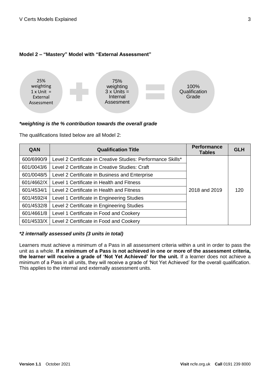## **Model 2 – "Mastery" Model with "External Assessment"**



#### *\*weighting is the % contribution towards the overall grade*

The qualifications listed below are all Model 2:

| QAN        | <b>Qualification Title</b>                                   | <b>Performance</b><br><b>Tables</b> | <b>GLH</b> |
|------------|--------------------------------------------------------------|-------------------------------------|------------|
| 600/6990/9 | Level 2 Certificate in Creative Studies: Performance Skills* |                                     |            |
| 601/0043/6 | Level 2 Certificate in Creative Studies: Craft               |                                     |            |
| 601/0048/5 | Level 2 Certificate in Business and Enterprise               |                                     |            |
| 601/4662/X | Level 1 Certificate in Health and Fitness                    |                                     |            |
| 601/4534/1 | Level 2 Certificate in Health and Fitness                    | 2018 and 2019                       | 120        |
| 601/4592/4 | Level 1 Certificate in Engineering Studies                   |                                     |            |
| 601/4532/8 | Level 2 Certificate in Engineering Studies                   |                                     |            |
| 601/4661/8 | Level 1 Certificate in Food and Cookery                      |                                     |            |
| 601/4533/X | Level 2 Certificate in Food and Cookery                      |                                     |            |

#### *\*2 internally assessed units (3 units in total)*

Learners must achieve a minimum of a Pass in all assessment criteria within a unit in order to pass the unit as a whole. **If a minimum of a Pass is not achieved in one or more of the assessment criteria, the learner will receive a grade of 'Not Yet Achieved' for the unit.** If a learner does not achieve a minimum of a Pass in all units, they will receive a grade of 'Not Yet Achieved' for the overall qualification. This applies to the internal and externally assessment units.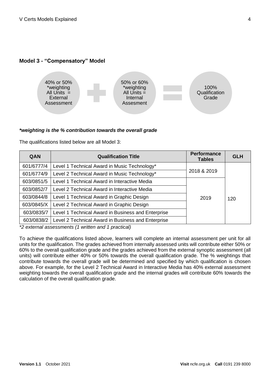## **Model 3 - "Compensatory" Model**



#### *\*weighting is the % contribution towards the overall grade*

The qualifications listed below are all Model 3:

| QAN        | <b>Qualification Title</b>                         | <b>Performance</b><br><b>Tables</b> | <b>GLH</b> |
|------------|----------------------------------------------------|-------------------------------------|------------|
| 601/6777/4 | Level 1 Technical Award in Music Technology*       |                                     |            |
| 601/6774/9 | Level 2 Technical Award in Music Technology*       | 2018 & 2019                         |            |
| 603/0851/5 | Level 1 Technical Award in Interactive Media       |                                     |            |
| 603/0852/7 | Level 2 Technical Award in Interactive Media       |                                     |            |
| 603/0844/8 | Level 1 Technical Award in Graphic Design          | 2019                                | 120        |
| 603/0845/X | Level 2 Technical Award in Graphic Design          |                                     |            |
| 603/0835/7 | Level 1 Technical Award in Business and Enterprise |                                     |            |
| 603/0838/2 | Level 2 Technical Award in Business and Enterprise |                                     |            |

*\*2 external assessments (1 written and 1 practical)*

To achieve the qualifications listed above, learners will complete an internal assessment per unit for all units for the qualification. The grades achieved from internally assessed units will contribute either 50% or 60% to the overall qualification grade and the grades achieved from the external synoptic assessment (all units) will contribute either 40% or 50% towards the overall qualification grade. The % weightings that contribute towards the overall grade will be determined and specified by which qualification is chosen above. For example, for the Level 2 Technical Award in Interactive Media has 40% external assessment weighting towards the overall qualification grade and the internal grades will contribute 60% towards the calculation of the overall qualification grade.